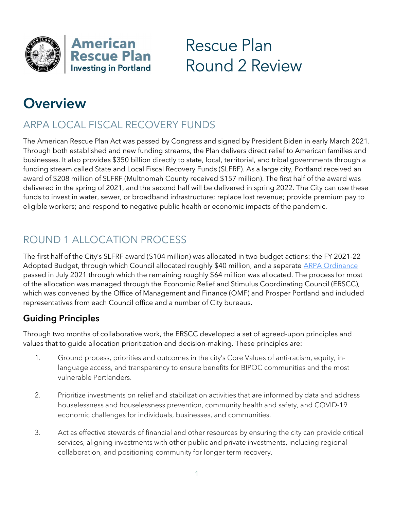

Rescue Plan Round 2 Review

# **Overview**

# ARPA LOCAL FISCAL RECOVERY FUNDS

The American Rescue Plan Act was passed by Congress and signed by President Biden in early March 2021. Through both established and new funding streams, the Plan delivers direct relief to American families and businesses. It also provides \$350 billion directly to state, local, territorial, and tribal governments through a funding stream called State and Local Fiscal Recovery Funds (SLFRF). As a large city, Portland received an award of \$208 million of SLFRF (Multnomah County received \$157 million). The first half of the award was delivered in the spring of 2021, and the second half will be delivered in spring 2022. The City can use these funds to invest in water, sewer, or broadband infrastructure; replace lost revenue; provide premium pay to eligible workers; and respond to negative public health or economic impacts of the pandemic.

# ROUND 1 ALLOCATION PROCESS

The first half of the City's SLFRF award (\$104 million) was allocated in two budget actions: the FY 2021-22 Adopted Budget, through which Council allocated roughly \$40 million, and a separate **ARPA Ordinance** passed in July 2021 through which the remaining roughly \$64 million was allocated. The process for most of the allocation was managed through the Economic Relief and Stimulus Coordinating Council (ERSCC), which was convened by the Office of Management and Finance (OMF) and Prosper Portland and included representatives from each Council office and a number of City bureaus.

### Guiding Principles

Through two months of collaborative work, the ERSCC developed a set of agreed-upon principles and values that to guide allocation prioritization and decision-making. These principles are:

- 1. Ground process, priorities and outcomes in the city's Core Values of anti-racism, equity, inlanguage access, and transparency to ensure benefits for BIPOC communities and the most vulnerable Portlanders.
- 2. Prioritize investments on relief and stabilization activities that are informed by data and address houselessness and houselessness prevention, community health and safety, and COVID-19 economic challenges for individuals, businesses, and communities.
- 3. Act as effective stewards of financial and other resources by ensuring the city can provide critical services, aligning investments with other public and private investments, including regional collaboration, and positioning community for longer term recovery.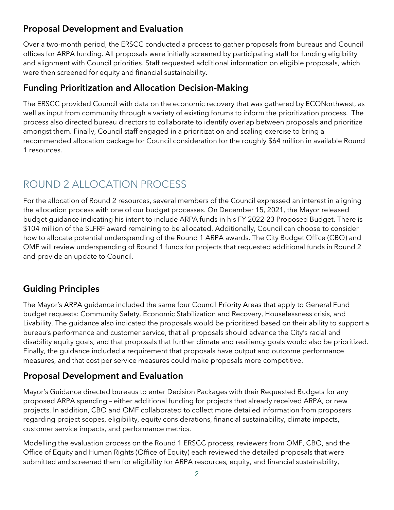#### Proposal Development and Evaluation

Over a two-month period, the ERSCC conducted a process to gather proposals from bureaus and Council offices for ARPA funding. All proposals were initially screened by participating staff for funding eligibility and alignment with Council priorities. Staff requested additional information on eligible proposals, which were then screened for equity and financial sustainability.

#### Funding Prioritization and Allocation Decision-Making

The ERSCC provided Council with data on the economic recovery that was gathered by ECONorthwest, as well as input from community through a variety of existing forums to inform the prioritization process. The process also directed bureau directors to collaborate to identify overlap between proposals and prioritize amongst them. Finally, Council staff engaged in a prioritization and scaling exercise to bring a recommended allocation package for Council consideration for the roughly \$64 million in available Round 1 resources.

# ROUND 2 ALLOCATION PROCESS

For the allocation of Round 2 resources, several members of the Council expressed an interest in aligning the allocation process with one of our budget processes. On December 15, 2021, the Mayor released budget guidance indicating his intent to include ARPA funds in his FY 2022-23 Proposed Budget. There is \$104 million of the SLFRF award remaining to be allocated. Additionally, Council can choose to consider how to allocate potential underspending of the Round 1 ARPA awards. The City Budget Office (CBO) and OMF will review underspending of Round 1 funds for projects that requested additional funds in Round 2 and provide an update to Council.

### Guiding Principles

The Mayor's ARPA guidance included the same four Council Priority Areas that apply to General Fund budget requests: Community Safety, Economic Stabilization and Recovery, Houselessness crisis, and Livability. The guidance also indicated the proposals would be prioritized based on their ability to support a bureau's performance and customer service, that all proposals should advance the City's racial and disability equity goals, and that proposals that further climate and resiliency goals would also be prioritized. Finally, the guidance included a requirement that proposals have output and outcome performance measures, and that cost per service measures could make proposals more competitive.

#### Proposal Development and Evaluation

Mayor's Guidance directed bureaus to enter Decision Packages with their Requested Budgets for any proposed ARPA spending – either additional funding for projects that already received ARPA, or new projects. In addition, CBO and OMF collaborated to collect more detailed information from proposers regarding project scopes, eligibility, equity considerations, financial sustainability, climate impacts, customer service impacts, and performance metrics.

Modelling the evaluation process on the Round 1 ERSCC process, reviewers from OMF, CBO, and the Office of Equity and Human Rights (Office of Equity) each reviewed the detailed proposals that were submitted and screened them for eligibility for ARPA resources, equity, and financial sustainability,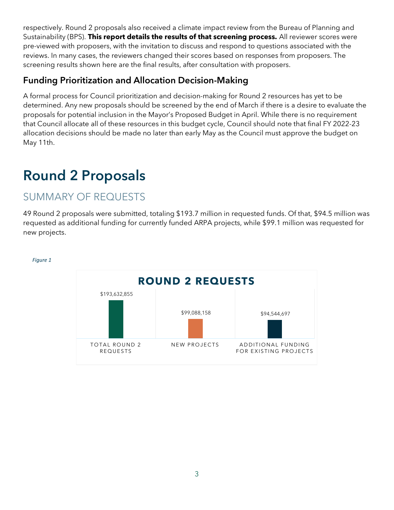respectively. Round 2 proposals also received a climate impact review from the Bureau of Planning and Sustainability (BPS). This report details the results of that screening process. All reviewer scores were pre-viewed with proposers, with the invitation to discuss and respond to questions associated with the reviews. In many cases, the reviewers changed their scores based on responses from proposers. The screening results shown here are the final results, after consultation with proposers.

#### Funding Prioritization and Allocation Decision-Making

A formal process for Council prioritization and decision-making for Round 2 resources has yet to be determined. Any new proposals should be screened by the end of March if there is a desire to evaluate the proposals for potential inclusion in the Mayor's Proposed Budget in April. While there is no requirement that Council allocate all of these resources in this budget cycle, Council should note that final FY 2022-23 allocation decisions should be made no later than early May as the Council must approve the budget on May 11th.

# Round 2 Proposals

# SUMMARY OF REQUESTS

49 Round 2 proposals were submitted, totaling \$193.7 million in requested funds. Of that, \$94.5 million was requested as additional funding for currently funded ARPA projects, while \$99.1 million was requested for new projects.



#### Figure 1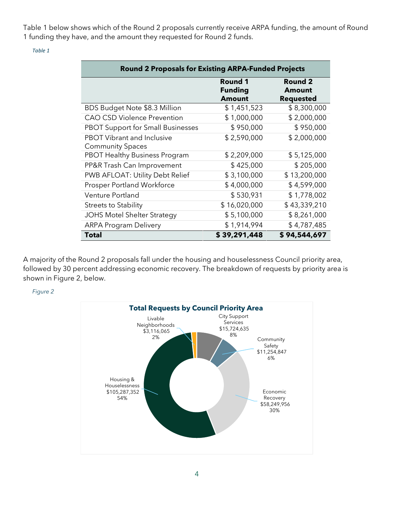Table 1 below shows which of the Round 2 proposals currently receive ARPA funding, the amount of Round 1 funding they have, and the amount they requested for Round 2 funds.

| <b>Round 2 Proposals for Existing ARPA-Funded Projects</b>   |                                                   |                                                     |
|--------------------------------------------------------------|---------------------------------------------------|-----------------------------------------------------|
|                                                              | <b>Round 1</b><br><b>Funding</b><br><b>Amount</b> | <b>Round 2</b><br><b>Amount</b><br><b>Requested</b> |
| BDS Budget Note \$8.3 Million                                | \$1,451,523                                       | \$8,300,000                                         |
| <b>CAO CSD Violence Prevention</b>                           | \$1,000,000                                       | \$2,000,000                                         |
| <b>PBOT Support for Small Businesses</b>                     | \$950,000                                         | \$950,000                                           |
| <b>PBOT Vibrant and Inclusive</b><br><b>Community Spaces</b> | \$2,590,000                                       | \$2,000,000                                         |
| <b>PBOT Healthy Business Program</b>                         | \$2,209,000                                       | \$5,125,000                                         |
| PP&R Trash Can Improvement                                   | \$425,000                                         | \$205,000                                           |
| PWB AFLOAT: Utility Debt Relief                              | \$3,100,000                                       | \$13,200,000                                        |
| <b>Prosper Portland Workforce</b>                            | \$4,000,000                                       | \$4,599,000                                         |
| Venture Portland                                             | \$530,931                                         | \$1,778,002                                         |
| <b>Streets to Stability</b>                                  | \$16,020,000                                      | \$43,339,210                                        |
| <b>JOHS Motel Shelter Strategy</b>                           | \$5,100,000                                       | \$8,261,000                                         |
| <b>ARPA Program Delivery</b>                                 | \$1,914,994                                       | \$4,787,485                                         |
| <b>Total</b>                                                 | \$39,291,448                                      | \$94,544,697                                        |

Table 1

A majority of the Round 2 proposals fall under the housing and houselessness Council priority area, followed by 30 percent addressing economic recovery. The breakdown of requests by priority area is shown in Figure 2, below.



Figure 2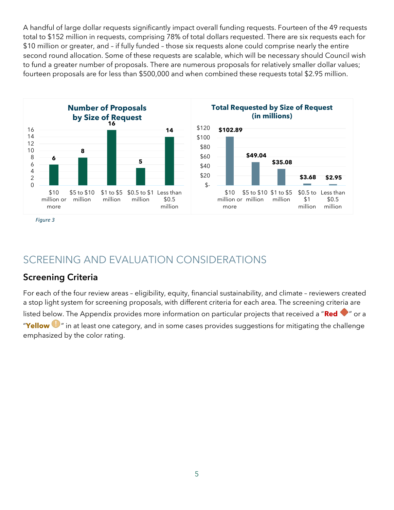A handful of large dollar requests significantly impact overall funding requests. Fourteen of the 49 requests total to \$152 million in requests, comprising 78% of total dollars requested. There are six requests each for \$10 million or greater, and – if fully funded – those six requests alone could comprise nearly the entire second round allocation. Some of these requests are scalable, which will be necessary should Council wish to fund a greater number of proposals. There are numerous proposals for relatively smaller dollar values; fourteen proposals are for less than \$500,000 and when combined these requests total \$2.95 million.



Figure 3

# SCREENING AND EVALUATION CONSIDERATIONS

#### Screening Criteria

For each of the four review areas – eligibility, equity, financial sustainability, and climate – reviewers created a stop light system for screening proposals, with different criteria for each area. The screening criteria are listed below. The Appendix provides more information on particular projects that received a "Red  $\bullet$ " or a "Yellow  $\bullet$ " in at least one category, and in some cases provides suggestions for mitigating the challenge emphasized by the color rating.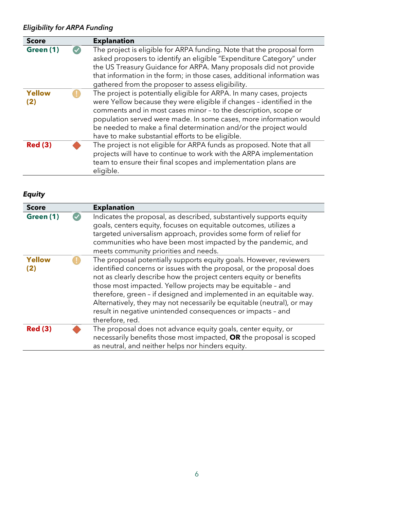#### Eligibility for ARPA Funding

| <b>Score</b>         | <b>Explanation</b>                                                                                                                                                                                                                                                                                                                                                                                              |
|----------------------|-----------------------------------------------------------------------------------------------------------------------------------------------------------------------------------------------------------------------------------------------------------------------------------------------------------------------------------------------------------------------------------------------------------------|
| Green (1)            | The project is eligible for ARPA funding. Note that the proposal form<br>asked proposers to identify an eligible "Expenditure Category" under<br>the US Treasury Guidance for ARPA. Many proposals did not provide<br>that information in the form; in those cases, additional information was<br>gathered from the proposer to assess eligibility.                                                             |
| <b>Yellow</b><br>(2) | The project is potentially eligible for ARPA. In many cases, projects<br>were Yellow because they were eligible if changes - identified in the<br>comments and in most cases minor - to the description, scope or<br>population served were made. In some cases, more information would<br>be needed to make a final determination and/or the project would<br>have to make substantial efforts to be eligible. |
| <b>Red (3)</b>       | The project is not eligible for ARPA funds as proposed. Note that all<br>projects will have to continue to work with the ARPA implementation<br>team to ensure their final scopes and implementation plans are<br>eligible.                                                                                                                                                                                     |

#### Equity

| <b>Score</b>         | <b>Explanation</b>                                                                                                                                                                                                                                                                                                                                                                                                                                                                                                  |
|----------------------|---------------------------------------------------------------------------------------------------------------------------------------------------------------------------------------------------------------------------------------------------------------------------------------------------------------------------------------------------------------------------------------------------------------------------------------------------------------------------------------------------------------------|
| Green (1)            | Indicates the proposal, as described, substantively supports equity<br>goals, centers equity, focuses on equitable outcomes, utilizes a<br>targeted universalism approach, provides some form of relief for<br>communities who have been most impacted by the pandemic, and<br>meets community priorities and needs.                                                                                                                                                                                                |
| <b>Yellow</b><br>(2) | The proposal potentially supports equity goals. However, reviewers<br>identified concerns or issues with the proposal, or the proposal does<br>not as clearly describe how the project centers equity or benefits<br>those most impacted. Yellow projects may be equitable - and<br>therefore, green - if designed and implemented in an equitable way.<br>Alternatively, they may not necessarily be equitable (neutral), or may<br>result in negative unintended consequences or impacts - and<br>therefore, red. |
| <b>Red (3)</b>       | The proposal does not advance equity goals, center equity, or<br>necessarily benefits those most impacted, OR the proposal is scoped<br>as neutral, and neither helps nor hinders equity.                                                                                                                                                                                                                                                                                                                           |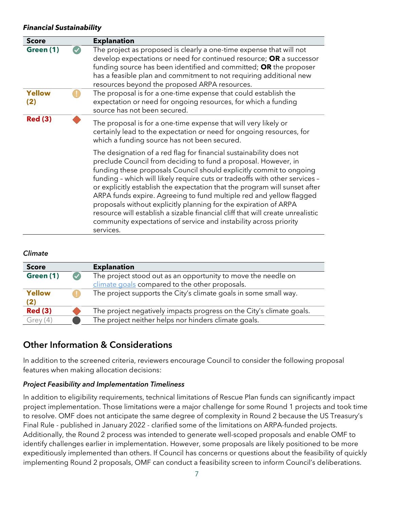#### Financial Sustainability

| <b>Score</b>         | <b>Explanation</b>                                                                                                                                                                                                                                                                                                                                                                                                                                                                                                                                                                                                                                                                       |
|----------------------|------------------------------------------------------------------------------------------------------------------------------------------------------------------------------------------------------------------------------------------------------------------------------------------------------------------------------------------------------------------------------------------------------------------------------------------------------------------------------------------------------------------------------------------------------------------------------------------------------------------------------------------------------------------------------------------|
| Green (1)            | The project as proposed is clearly a one-time expense that will not<br>develop expectations or need for continued resource; OR a successor<br>funding source has been identified and committed; OR the proposer<br>has a feasible plan and commitment to not requiring additional new<br>resources beyond the proposed ARPA resources.                                                                                                                                                                                                                                                                                                                                                   |
| <b>Yellow</b><br>(2) | The proposal is for a one-time expense that could establish the<br>expectation or need for ongoing resources, for which a funding<br>source has not been secured.                                                                                                                                                                                                                                                                                                                                                                                                                                                                                                                        |
| <b>Red (3)</b>       | The proposal is for a one-time expense that will very likely or<br>certainly lead to the expectation or need for ongoing resources, for<br>which a funding source has not been secured.                                                                                                                                                                                                                                                                                                                                                                                                                                                                                                  |
|                      | The designation of a red flag for financial sustainability does not<br>preclude Council from deciding to fund a proposal. However, in<br>funding these proposals Council should explicitly commit to ongoing<br>funding - which will likely require cuts or tradeoffs with other services -<br>or explicitly establish the expectation that the program will sunset after<br>ARPA funds expire. Agreeing to fund multiple red and yellow flagged<br>proposals without explicitly planning for the expiration of ARPA<br>resource will establish a sizable financial cliff that will create unrealistic<br>community expectations of service and instability across priority<br>services. |

#### Climate

| <b>Score</b>   | <b>Explanation</b>                                                   |
|----------------|----------------------------------------------------------------------|
| Green (1)      | The project stood out as an opportunity to move the needle on        |
|                | climate goals compared to the other proposals.                       |
| Yellow         | The project supports the City's climate goals in some small way.     |
| (2)            |                                                                      |
| <b>Red (3)</b> | The project negatively impacts progress on the City's climate goals. |
| Grey (4)       | The project neither helps nor hinders climate goals.                 |

#### Other Information & Considerations

In addition to the screened criteria, reviewers encourage Council to consider the following proposal features when making allocation decisions:

#### Project Feasibility and Implementation Timeliness

In addition to eligibility requirements, technical limitations of Rescue Plan funds can significantly impact project implementation. Those limitations were a major challenge for some Round 1 projects and took time to resolve. OMF does not anticipate the same degree of complexity in Round 2 because the US Treasury's Final Rule - published in January 2022 - clarified some of the limitations on ARPA-funded projects. Additionally, the Round 2 process was intended to generate well-scoped proposals and enable OMF to identify challenges earlier in implementation. However, some proposals are likely positioned to be more expeditiously implemented than others. If Council has concerns or questions about the feasibility of quickly implementing Round 2 proposals, OMF can conduct a feasibility screen to inform Council's deliberations.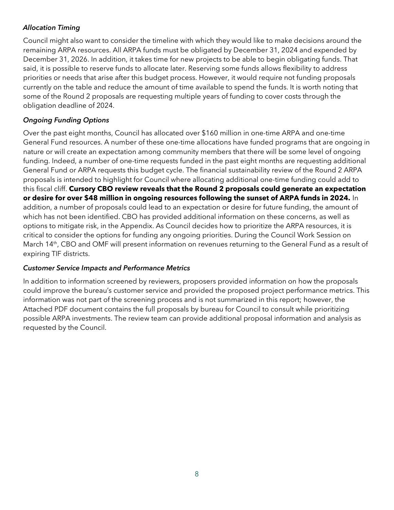#### Allocation Timing

Council might also want to consider the timeline with which they would like to make decisions around the remaining ARPA resources. All ARPA funds must be obligated by December 31, 2024 and expended by December 31, 2026. In addition, it takes time for new projects to be able to begin obligating funds. That said, it is possible to reserve funds to allocate later. Reserving some funds allows flexibility to address priorities or needs that arise after this budget process. However, it would require not funding proposals currently on the table and reduce the amount of time available to spend the funds. It is worth noting that some of the Round 2 proposals are requesting multiple years of funding to cover costs through the obligation deadline of 2024.

#### Ongoing Funding Options

Over the past eight months, Council has allocated over \$160 million in one-time ARPA and one-time General Fund resources. A number of these one-time allocations have funded programs that are ongoing in nature or will create an expectation among community members that there will be some level of ongoing funding. Indeed, a number of one-time requests funded in the past eight months are requesting additional General Fund or ARPA requests this budget cycle. The financial sustainability review of the Round 2 ARPA proposals is intended to highlight for Council where allocating additional one-time funding could add to this fiscal cliff. Cursory CBO review reveals that the Round 2 proposals could generate an expectation or desire for over \$48 million in ongoing resources following the sunset of ARPA funds in 2024. In addition, a number of proposals could lead to an expectation or desire for future funding, the amount of which has not been identified. CBO has provided additional information on these concerns, as well as options to mitigate risk, in the Appendix. As Council decides how to prioritize the ARPA resources, it is critical to consider the options for funding any ongoing priorities. During the Council Work Session on March 14<sup>th</sup>, CBO and OMF will present information on revenues returning to the General Fund as a result of expiring TIF districts.

#### Customer Service Impacts and Performance Metrics

In addition to information screened by reviewers, proposers provided information on how the proposals could improve the bureau's customer service and provided the proposed project performance metrics. This information was not part of the screening process and is not summarized in this report; however, the Attached PDF document contains the full proposals by bureau for Council to consult while prioritizing possible ARPA investments. The review team can provide additional proposal information and analysis as requested by the Council.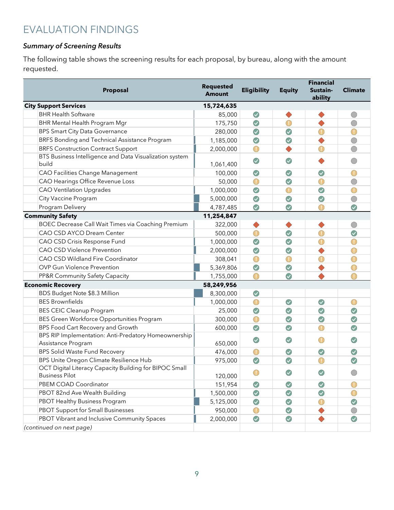# EVALUATION FINDINGS

#### Summary of Screening Results

The following table shows the screening results for each proposal, by bureau, along with the amount requested.

| Proposal                                                                        | <b>Requested</b><br><b>Amount</b> | <b>Eligibility</b> | <b>Equity</b> | <b>Financial</b><br>Sustain-<br>ability | <b>Climate</b> |
|---------------------------------------------------------------------------------|-----------------------------------|--------------------|---------------|-----------------------------------------|----------------|
| <b>City Support Services</b>                                                    | 15,724,635                        |                    |               |                                         |                |
| <b>BHR Health Software</b>                                                      | 85,000                            | $\bigcirc$         |               |                                         | $\bigcirc$     |
| <b>BHR Mental Health Program Mgr</b>                                            | 175,750                           | $\bigcirc$         | $\bigcirc$    | ♦                                       | $\bigcirc$     |
| <b>BPS Smart City Data Governance</b>                                           | 280,000                           | $\bigcirc$         | $\bigcirc$    | $\bigcirc$                              | $\bigcirc$     |
| BRFS Bonding and Technical Assistance Program                                   | 1,185,000                         | $\bigcirc$         | $\bigcirc$    | $\blacklozenge$                         | $\bigcirc$     |
| <b>BRFS Construction Contract Support</b>                                       | 2,000,000                         | $\bigcirc$         |               | $\bigcirc$                              | $\bigcirc$     |
| BTS Business Intelligence and Data Visualization system<br>build                | 1,061,400                         | $\bigcirc$         | $\bigcirc$    |                                         | $\bigcirc$     |
| <b>CAO Facilities Change Management</b>                                         | 100,000                           | $\bigcirc$         | $\bigcirc$    | $\bigcirc$                              | $\bigcirc$     |
| CAO Hearings Office Revenue Loss                                                | 50,000                            | $\bigcirc$         | $\bigcirc$    | $\textcircled{\small{1}}$               | $\bigcirc$     |
| <b>CAO Ventilation Upgrades</b>                                                 | 1,000,000                         | $\bigcirc$         | $\bigcirc$    | $\bigcirc$                              | $\bigcirc$     |
| City Vaccine Program                                                            | 5,000,000                         | $\bigcirc$         | $\bigcirc$    | $\bigcirc$                              | $\bigcirc$     |
| Program Delivery                                                                | 4,787,485                         | $\bigcirc$         | $\bigcirc$    | $\bigcirc$                              | $\bigcirc$     |
| <b>Community Safety</b>                                                         | 11,254,847                        |                    |               |                                         |                |
| BOEC Decrease Call Wait Times via Coaching Premium                              | 322,000                           | $\blacklozenge$    |               | ♦                                       | $\bigcirc$     |
| <b>CAO CSD AYCO Dream Center</b>                                                | 500,000                           | $\bigodot$         | $\bigcirc$    | $\bigcirc$                              | $\bigcirc$     |
| CAO CSD Crisis Response Fund                                                    | 1,000,000                         | $\bigcirc$         | $\bigcirc$    | $\bigcirc$                              | $\bigcirc$     |
| <b>CAO CSD Violence Prevention</b>                                              | 2,000,000                         | $\bigcirc$         | $\bigcirc$    | $\blacklozenge$                         | $\bigcirc$     |
| CAO CSD Wildland Fire Coordinator                                               | 308,041                           | $\bigcirc$         | $\bigcirc$    | $\textcircled{\small{1}}$               | $\bigcirc$     |
| <b>OVP Gun Violence Prevention</b>                                              | 5,369,806                         | $\bigcirc$         | $\bigcirc$    |                                         | $\bigcirc$     |
| PP&R Community Safety Capacity                                                  | 1,755,000                         | $\bigcirc$         | $\bigcirc$    |                                         | $\bigcirc$     |
| <b>Economic Recovery</b>                                                        | 58,249,956                        |                    |               |                                         |                |
| BDS Budget Note \$8.3 Million                                                   | 8,300,000                         | $\bigcirc$         |               |                                         |                |
| <b>BES Brownfields</b>                                                          | 1,000,000                         | $\bigcirc$         | $\bigcirc$    | $\bigcirc$                              | $\bigcirc$     |
| <b>BES CEIC Cleanup Program</b>                                                 | 25,000                            | $\bigcirc$         | $\bigcirc$    | $\bigcirc$                              | $\bigcirc$     |
| BES Green Workforce Opportunities Program                                       | 300,000                           | $\bigcirc$         | $\bigcirc$    | $\bigcirc$                              | $\bigcirc$     |
| BPS Food Cart Recovery and Growth                                               | 600,000                           | $\bigcirc$         | $\bigcirc$    | $\bigcirc$                              | $\bigcirc$     |
| BPS RIP Implementation: Anti-Predatory Homeownership<br>Assistance Program      | 650,000                           | $\bigcirc$         | $\bigcirc$    | $\bigodot$                              | $\bigcirc$     |
| <b>BPS Solid Waste Fund Recovery</b>                                            | 476,000                           | $\bigcirc$         | $\bigcirc$    | $\bigcirc$                              | $\bigcirc$     |
| BPS Unite Oregon Climate Resilience Hub                                         | 975,000                           | $\odot$            | $\bigcirc$    | $\bigcirc$                              | $\bigcirc$     |
| OCT Digital Literacy Capacity Building for BIPOC Small<br><b>Business Pilot</b> | 120,000                           | $\bigodot$         | $\bigcirc$    | $\bigcirc$                              | $\bigcirc$     |
| PBEM COAD Coordinator                                                           | 151,954                           | $\bigcirc$         | $\bigodot$    | $\bigcirc$                              | $\bigcirc$     |
| PBOT 82nd Ave Wealth Building                                                   | 1,500,000                         | $\bigcirc$         | $\bigcirc$    | $\bigcirc$                              | $\bigcirc$     |
| PBOT Healthy Business Program                                                   | 5,125,000                         | $\bigcirc$         | $\bigcirc$    | $\mathbb O$                             | $\bigcirc$     |
| <b>PBOT Support for Small Businesses</b>                                        | 950,000                           | $\bigcirc$         | $\bigcirc$    |                                         | $\bigcirc$     |
| PBOT Vibrant and Inclusive Community Spaces                                     | 2,000,000                         | $\bigcirc$         | $\bigcirc$    | $\bullet$                               | $\bigcirc$     |
| (continued on next page)                                                        |                                   |                    |               |                                         |                |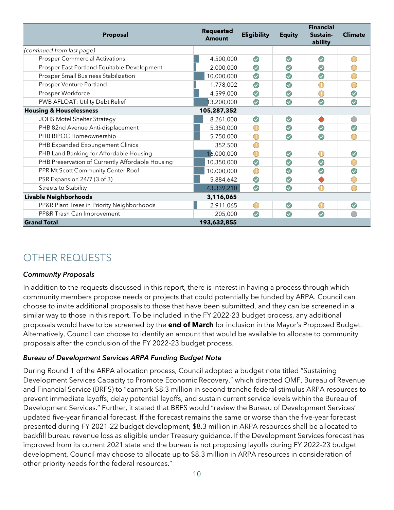| Proposal                                         | <b>Requested</b><br><b>Amount</b> | <b>Eligibility</b> | <b>Equity</b> | <b>Financial</b><br>Sustain-<br>ability | <b>Climate</b>                                |
|--------------------------------------------------|-----------------------------------|--------------------|---------------|-----------------------------------------|-----------------------------------------------|
| (continued from last page)                       |                                   |                    |               |                                         |                                               |
| <b>Prosper Commercial Activations</b>            | 4,500,000                         | $\bigcirc$         | $\bigodot$    | $\odot$                                 | $(\top)$                                      |
| Prosper East Portland Equitable Development      | 2,000,000                         | $\bigcirc$         | $\bigodot$    | $\bigodot$                              | $\bigcirc$                                    |
| <b>Prosper Small Business Stabilization</b>      | 10,000,000                        | $\bigodot$         | $\bigcirc$    | $\bigcirc$                              | $\bigcirc$                                    |
| Prosper Venture Portland                         | 1,778,002                         | $\bigodot$         | $\odot$       |                                         |                                               |
| Prosper Workforce                                | 4,599,000                         | $\bigcirc$         | $\bigodot$    | $\bigcirc$                              | $\bigcirc$                                    |
| PWB AFLOAT: Utility Debt Relief                  | 13,200,000                        | $\bigcirc$         | $\bigodot$    | $\bigcirc$                              | $\bigcirc$                                    |
| <b>Housing &amp; Houselessness</b>               | 105,287,352                       |                    |               |                                         |                                               |
| JOHS Motel Shelter Strategy                      | 8,261,000                         | $\bigcirc$         | $\bigodot$    |                                         |                                               |
| PHB 82nd Avenue Anti-displacement                | 5,350,000                         | $\bigcirc$         | $\odot$       | $\bigcirc$                              | $\bigcirc$                                    |
| PHB BIPOC Homeownership                          | 5,750,000                         | $\bigcirc$         | $\bigcirc$    | $\bigcirc$                              | $\bigcirc$                                    |
| PHB Expanded Expungement Clinics                 | 352,500                           | $\bigcirc$         |               |                                         |                                               |
| PHB Land Banking for Affordable Housing          | 16,000,000                        | $\bigcirc$         | $\odot$       | $\left( \rule{0pt}{10pt}\right)$        | $\bigcirc$                                    |
| PHB Preservation of Currently Affordable Housing | 10,350,000                        | $\bigcirc$         | $\bigodot$    | $\bigodot$                              | $\bigcirc$                                    |
| PPR Mt Scott Community Center Roof               | 10,000,000                        | $\bigcirc$         | $\bigcirc$    | $\bigcirc$                              | $\bigcirc$                                    |
| PSR Expansion 24/7 (3 of 3)                      | 5,884,642                         | $\bigcirc$         | $\bigodot$    |                                         | $\left( \begin{array}{c} \end{array} \right)$ |
| <b>Streets to Stability</b>                      | 43,339,210                        | $\bigcirc$         | $\bigodot$    | $\mathbb D$                             | $\bigcirc$                                    |
| Livable Neighborhoods                            | 3,116,065                         |                    |               |                                         |                                               |
| PP&R Plant Trees in Priority Neighborhoods       | 2,911,065                         | $\bigcirc$         | $\bigcirc$    | $\bigcirc$                              | $\odot$                                       |
| PP&R Trash Can Improvement                       | 205,000                           | $\bigcirc$         | $\bigodot$    | $\bigodot$                              | $\bigcirc$                                    |
| <b>Grand Total</b>                               | 193,632,855                       |                    |               |                                         |                                               |

# OTHER REQUESTS

#### Community Proposals

In addition to the requests discussed in this report, there is interest in having a process through which community members propose needs or projects that could potentially be funded by ARPA. Council can choose to invite additional proposals to those that have been submitted, and they can be screened in a similar way to those in this report. To be included in the FY 2022-23 budget process, any additional proposals would have to be screened by the **end of March** for inclusion in the Mayor's Proposed Budget. Alternatively, Council can choose to identify an amount that would be available to allocate to community proposals after the conclusion of the FY 2022-23 budget process.

#### Bureau of Development Services ARPA Funding Budget Note

During Round 1 of the ARPA allocation process, Council adopted a budget note titled "Sustaining Development Services Capacity to Promote Economic Recovery," which directed OMF, Bureau of Revenue and Financial Service (BRFS) to "earmark \$8.3 million in second tranche federal stimulus ARPA resources to prevent immediate layoffs, delay potential layoffs, and sustain current service levels within the Bureau of Development Services." Further, it stated that BRFS would "review the Bureau of Development Services' updated five-year financial forecast. If the forecast remains the same or worse than the five-year forecast presented during FY 2021-22 budget development, \$8.3 million in ARPA resources shall be allocated to backfill bureau revenue loss as eligible under Treasury guidance. If the Development Services forecast has improved from its current 2021 state and the bureau is not proposing layoffs during FY 2022-23 budget development, Council may choose to allocate up to \$8.3 million in ARPA resources in consideration of other priority needs for the federal resources."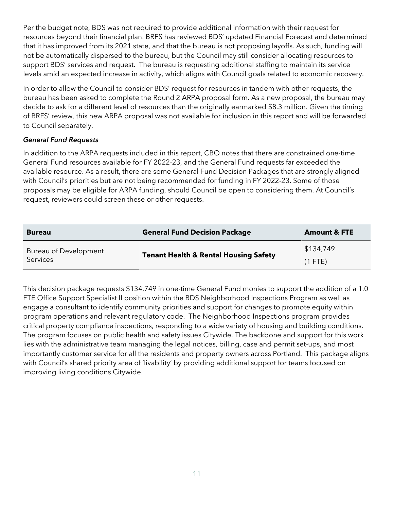Per the budget note, BDS was not required to provide additional information with their request for resources beyond their financial plan. BRFS has reviewed BDS' updated Financial Forecast and determined that it has improved from its 2021 state, and that the bureau is not proposing layoffs. As such, funding will not be automatically dispersed to the bureau, but the Council may still consider allocating resources to support BDS' services and request. The bureau is requesting additional staffing to maintain its service levels amid an expected increase in activity, which aligns with Council goals related to economic recovery.

In order to allow the Council to consider BDS' request for resources in tandem with other requests, the bureau has been asked to complete the Round 2 ARPA proposal form. As a new proposal, the bureau may decide to ask for a different level of resources than the originally earmarked \$8.3 million. Given the timing of BRFS' review, this new ARPA proposal was not available for inclusion in this report and will be forwarded to Council separately.

#### General Fund Requests

In addition to the ARPA requests included in this report, CBO notes that there are constrained one-time General Fund resources available for FY 2022-23, and the General Fund requests far exceeded the available resource. As a result, there are some General Fund Decision Packages that are strongly aligned with Council's priorities but are not being recommended for funding in FY 2022-23. Some of those proposals may be eligible for ARPA funding, should Council be open to considering them. At Council's request, reviewers could screen these or other requests.

| <b>Bureau</b>         | <b>General Fund Decision Package</b>                          | <b>Amount &amp; FTE</b> |
|-----------------------|---------------------------------------------------------------|-------------------------|
| Bureau of Development |                                                               | \$134,749               |
| <b>Services</b>       | <b>Tenant Health &amp; Rental Housing Safety</b><br>$(1$ FTE) |                         |

This decision package requests \$134,749 in one-time General Fund monies to support the addition of a 1.0 FTE Office Support Specialist II position within the BDS Neighborhood Inspections Program as well as engage a consultant to identify community priorities and support for changes to promote equity within program operations and relevant regulatory code. The Neighborhood Inspections program provides critical property compliance inspections, responding to a wide variety of housing and building conditions. The program focuses on public health and safety issues Citywide. The backbone and support for this work lies with the administrative team managing the legal notices, billing, case and permit set-ups, and most importantly customer service for all the residents and property owners across Portland. This package aligns with Council's shared priority area of 'livability' by providing additional support for teams focused on improving living conditions Citywide.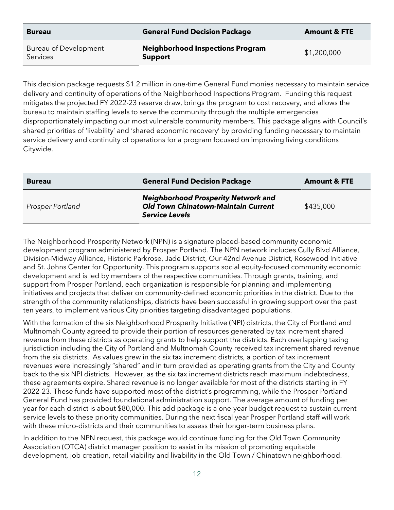| <b>Bureau</b>                            | <b>General Fund Decision Package</b>                      | <b>Amount &amp; FTE</b> |
|------------------------------------------|-----------------------------------------------------------|-------------------------|
| Bureau of Development<br><b>Services</b> | <b>Neighborhood Inspections Program</b><br><b>Support</b> | \$1,200,000             |

This decision package requests \$1.2 million in one-time General Fund monies necessary to maintain service delivery and continuity of operations of the Neighborhood Inspections Program. Funding this request mitigates the projected FY 2022-23 reserve draw, brings the program to cost recovery, and allows the bureau to maintain staffing levels to serve the community through the multiple emergencies disproportionately impacting our most vulnerable community members. This package aligns with Council's shared priorities of 'livability' and 'shared economic recovery' by providing funding necessary to maintain service delivery and continuity of operations for a program focused on improving living conditions Citywide.

| <b>Bureau</b>    | <b>General Fund Decision Package</b>                                                                              | <b>Amount &amp; FTE</b> |
|------------------|-------------------------------------------------------------------------------------------------------------------|-------------------------|
| Prosper Portland | <b>Neighborhood Prosperity Network and</b><br><b>Old Town Chinatown-Maintain Current</b><br><b>Service Levels</b> | \$435,000               |

The Neighborhood Prosperity Network (NPN) is a signature placed-based community economic development program administered by Prosper Portland. The NPN network includes Cully Blvd Alliance, Division-Midway Alliance, Historic Parkrose, Jade District, Our 42nd Avenue District, Rosewood Initiative and St. Johns Center for Opportunity. This program supports social equity-focused community economic development and is led by members of the respective communities. Through grants, training, and support from Prosper Portland, each organization is responsible for planning and implementing initiatives and projects that deliver on community-defined economic priorities in the district. Due to the strength of the community relationships, districts have been successful in growing support over the past ten years, to implement various City priorities targeting disadvantaged populations.

With the formation of the six Neighborhood Prosperity Initiative (NPI) districts, the City of Portland and Multnomah County agreed to provide their portion of resources generated by tax increment shared revenue from these districts as operating grants to help support the districts. Each overlapping taxing jurisdiction including the City of Portland and Multnomah County received tax increment shared revenue from the six districts. As values grew in the six tax increment districts, a portion of tax increment revenues were increasingly "shared" and in turn provided as operating grants from the City and County back to the six NPI districts. However, as the six tax increment districts reach maximum indebtedness, these agreements expire. Shared revenue is no longer available for most of the districts starting in FY 2022-23. These funds have supported most of the district's programming, while the Prosper Portland General Fund has provided foundational administration support. The average amount of funding per year for each district is about \$80,000. This add package is a one-year budget request to sustain current service levels to these priority communities. During the next fiscal year Prosper Portland staff will work with these micro-districts and their communities to assess their longer-term business plans.

In addition to the NPN request, this package would continue funding for the Old Town Community Association (OTCA) district manager position to assist in its mission of promoting equitable development, job creation, retail viability and livability in the Old Town / Chinatown neighborhood.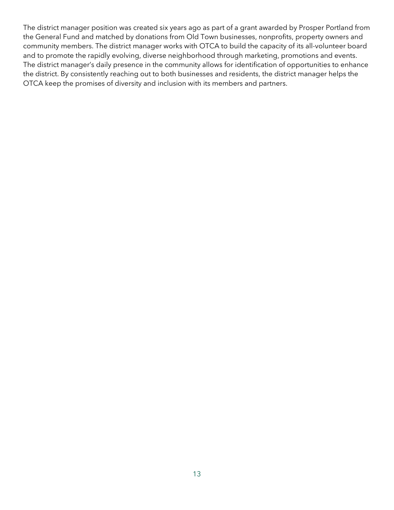The district manager position was created six years ago as part of a grant awarded by Prosper Portland from the General Fund and matched by donations from Old Town businesses, nonprofits, property owners and community members. The district manager works with OTCA to build the capacity of its all-volunteer board and to promote the rapidly evolving, diverse neighborhood through marketing, promotions and events. The district manager's daily presence in the community allows for identification of opportunities to enhance the district. By consistently reaching out to both businesses and residents, the district manager helps the OTCA keep the promises of diversity and inclusion with its members and partners.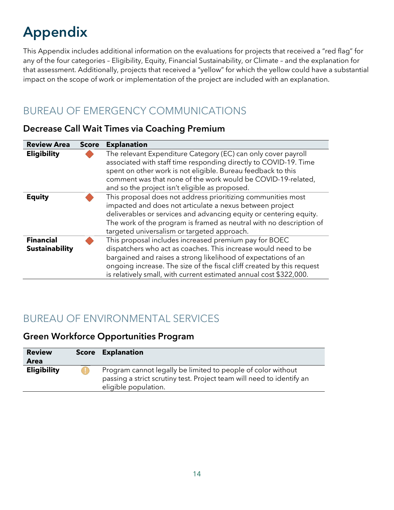# Appendix

This Appendix includes additional information on the evaluations for projects that received a "red flag" for any of the four categories – Eligibility, Equity, Financial Sustainability, or Climate – and the explanation for that assessment. Additionally, projects that received a "yellow" for which the yellow could have a substantial impact on the scope of work or implementation of the project are included with an explanation.

# BUREAU OF EMERGENCY COMMUNICATIONS

#### Decrease Call Wait Times via Coaching Premium

| <b>Review Area</b>                        | <b>Score</b> | <b>Explanation</b>                                                                                                                                                                                                                                                                                                                        |
|-------------------------------------------|--------------|-------------------------------------------------------------------------------------------------------------------------------------------------------------------------------------------------------------------------------------------------------------------------------------------------------------------------------------------|
| <b>Eligibility</b>                        |              | The relevant Expenditure Category (EC) can only cover payroll<br>associated with staff time responding directly to COVID-19. Time<br>spent on other work is not eligible. Bureau feedback to this<br>comment was that none of the work would be COVID-19-related,<br>and so the project isn't eligible as proposed.                       |
| <b>Equity</b>                             |              | This proposal does not address prioritizing communities most<br>impacted and does not articulate a nexus between project<br>deliverables or services and advancing equity or centering equity.<br>The work of the program is framed as neutral with no description of<br>targeted universalism or targeted approach.                      |
| <b>Financial</b><br><b>Sustainability</b> |              | This proposal includes increased premium pay for BOEC<br>dispatchers who act as coaches. This increase would need to be<br>bargained and raises a strong likelihood of expectations of an<br>ongoing increase. The size of the fiscal cliff created by this request<br>is relatively small, with current estimated annual cost \$322,000. |

# BUREAU OF ENVIRONMENTAL SERVICES

#### Green Workforce Opportunities Program

| <b>Review</b><br>Area | <b>Score Explanation</b>                                                                                                                                      |
|-----------------------|---------------------------------------------------------------------------------------------------------------------------------------------------------------|
| <b>Eligibility</b>    | Program cannot legally be limited to people of color without<br>passing a strict scrutiny test. Project team will need to identify an<br>eligible population. |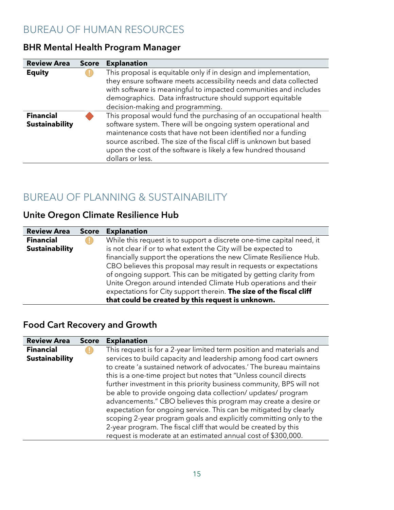# BUREAU OF HUMAN RESOURCES

#### BHR Mental Health Program Manager

| <b>Review Area</b>                        | <b>Score</b> | <b>Explanation</b>                                                                                                                                                                                                                                                                                                                                              |
|-------------------------------------------|--------------|-----------------------------------------------------------------------------------------------------------------------------------------------------------------------------------------------------------------------------------------------------------------------------------------------------------------------------------------------------------------|
| <b>Equity</b>                             |              | This proposal is equitable only if in design and implementation,<br>they ensure software meets accessibility needs and data collected<br>with software is meaningful to impacted communities and includes<br>demographics. Data infrastructure should support equitable<br>decision-making and programming.                                                     |
| <b>Financial</b><br><b>Sustainability</b> |              | This proposal would fund the purchasing of an occupational health<br>software system. There will be ongoing system operational and<br>maintenance costs that have not been identified nor a funding<br>source ascribed. The size of the fiscal cliff is unknown but based<br>upon the cost of the software is likely a few hundred thousand<br>dollars or less. |

# BUREAU OF PLANNING & SUSTAINABILITY

### Unite Oregon Climate Resilience Hub

| <b>Review Area</b>    | <b>Score</b> | <b>Explanation</b>                                                    |
|-----------------------|--------------|-----------------------------------------------------------------------|
| <b>Financial</b>      |              | While this request is to support a discrete one-time capital need, it |
| <b>Sustainability</b> |              | is not clear if or to what extent the City will be expected to        |
|                       |              | financially support the operations the new Climate Resilience Hub.    |
|                       |              | CBO believes this proposal may result in requests or expectations     |
|                       |              | of ongoing support. This can be mitigated by getting clarity from     |
|                       |              | Unite Oregon around intended Climate Hub operations and their         |
|                       |              | expectations for City support therein. The size of the fiscal cliff   |
|                       |              | that could be created by this request is unknown.                     |

### Food Cart Recovery and Growth

| <b>Review Area</b>    | <b>Score</b> | <b>Explanation</b>                                                   |
|-----------------------|--------------|----------------------------------------------------------------------|
| <b>Financial</b>      |              | This request is for a 2-year limited term position and materials and |
| <b>Sustainability</b> |              | services to build capacity and leadership among food cart owners     |
|                       |              | to create 'a sustained network of advocates.' The bureau maintains   |
|                       |              | this is a one-time project but notes that "Unless council directs    |
|                       |              | further investment in this priority business community, BPS will not |
|                       |              | be able to provide ongoing data collection/ updates/ program         |
|                       |              | advancements." CBO believes this program may create a desire or      |
|                       |              | expectation for ongoing service. This can be mitigated by clearly    |
|                       |              | scoping 2-year program goals and explicitly committing only to the   |
|                       |              | 2-year program. The fiscal cliff that would be created by this       |
|                       |              | request is moderate at an estimated annual cost of \$300,000.        |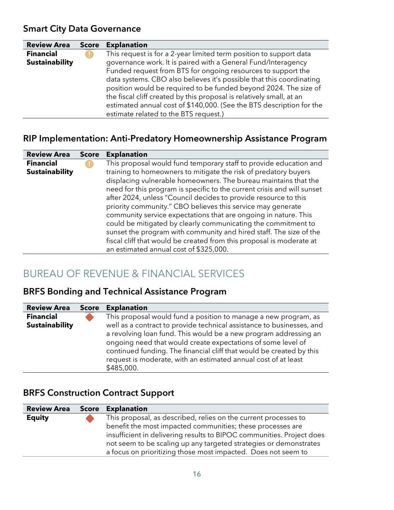#### Smart City Data Governance

| <b>Review Area</b>    | <b>Score</b> | <b>Explanation</b>                                                   |
|-----------------------|--------------|----------------------------------------------------------------------|
| <b>Financial</b>      |              | This request is for a 2-year limited term position to support data   |
| <b>Sustainability</b> |              | governance work. It is paired with a General Fund/Interagency        |
|                       |              | Funded request from BTS for ongoing resources to support the         |
|                       |              | data systems. CBO also believes it's possible that this coordinating |
|                       |              | position would be required to be funded beyond 2024. The size of     |
|                       |              | the fiscal cliff created by this proposal is relatively small, at an |
|                       |              | estimated annual cost of \$140,000. (See the BTS description for the |
|                       |              | estimate related to the BTS request.)                                |

#### RIP Implementation: Anti-Predatory Homeownership Assistance Program

| <b>Review Area</b>    | <b>Score</b> | <b>Explanation</b>                                                      |
|-----------------------|--------------|-------------------------------------------------------------------------|
| <b>Financial</b>      |              | This proposal would fund temporary staff to provide education and       |
| <b>Sustainability</b> |              | training to homeowners to mitigate the risk of predatory buyers         |
|                       |              | displacing vulnerable homeowners. The bureau maintains that the         |
|                       |              | need for this program is specific to the current crisis and will sunset |
|                       |              | after 2024, unless "Council decides to provide resource to this         |
|                       |              | priority community." CBO believes this service may generate             |
|                       |              | community service expectations that are ongoing in nature. This         |
|                       |              | could be mitigated by clearly communicating the commitment to           |
|                       |              | sunset the program with community and hired staff. The size of the      |
|                       |              | fiscal cliff that would be created from this proposal is moderate at    |
|                       |              | an estimated annual cost of \$325,000.                                  |

# BUREAU OF REVENUE & FINANCIAL SERVICES

#### BRFS Bonding and Technical Assistance Program

| <b>Review Area</b>                        | <b>Score</b> | <b>Explanation</b>                                                                                                                                                                                                                                                                                                                                                                                                                   |
|-------------------------------------------|--------------|--------------------------------------------------------------------------------------------------------------------------------------------------------------------------------------------------------------------------------------------------------------------------------------------------------------------------------------------------------------------------------------------------------------------------------------|
| <b>Financial</b><br><b>Sustainability</b> |              | This proposal would fund a position to manage a new program, as<br>well as a contract to provide technical assistance to businesses, and<br>a revolving loan fund. This would be a new program addressing an<br>ongoing need that would create expectations of some level of<br>continued funding. The financial cliff that would be created by this<br>request is moderate, with an estimated annual cost of at least<br>\$485,000. |

### BRFS Construction Contract Support

| <b>Review Area Score Explanation</b> |                                                                       |
|--------------------------------------|-----------------------------------------------------------------------|
| <b>Equity</b>                        | This proposal, as described, relies on the current processes to       |
|                                      | benefit the most impacted communities; these processes are            |
|                                      | insufficient in delivering results to BIPOC communities. Project does |
|                                      | not seem to be scaling up any targeted strategies or demonstrates     |
|                                      | a focus on prioritizing those most impacted. Does not seem to         |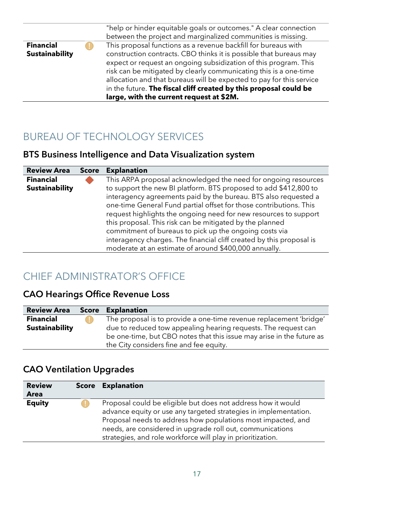|                       | "help or hinder equitable goals or outcomes." A clear connection<br>between the project and marginalized communities is missing.                                                                                                                                                                                                                                                                     |
|-----------------------|------------------------------------------------------------------------------------------------------------------------------------------------------------------------------------------------------------------------------------------------------------------------------------------------------------------------------------------------------------------------------------------------------|
| <b>Financial</b>      | This proposal functions as a revenue backfill for bureaus with                                                                                                                                                                                                                                                                                                                                       |
| <b>Sustainability</b> | construction contracts. CBO thinks it is possible that bureaus may<br>expect or request an ongoing subsidization of this program. This<br>risk can be mitigated by clearly communicating this is a one-time<br>allocation and that bureaus will be expected to pay for this service<br>in the future. The fiscal cliff created by this proposal could be<br>large, with the current request at \$2M. |

## BUREAU OF TECHNOLOGY SERVICES

### BTS Business Intelligence and Data Visualization system

| <b>Review Area</b>    | <b>Score</b> | <b>Explanation</b>                                                   |
|-----------------------|--------------|----------------------------------------------------------------------|
| <b>Financial</b>      |              | This ARPA proposal acknowledged the need for ongoing resources       |
| <b>Sustainability</b> |              | to support the new BI platform. BTS proposed to add \$412,800 to     |
|                       |              | interagency agreements paid by the bureau. BTS also requested a      |
|                       |              | one-time General Fund partial offset for those contributions. This   |
|                       |              | request highlights the ongoing need for new resources to support     |
|                       |              | this proposal. This risk can be mitigated by the planned             |
|                       |              | commitment of bureaus to pick up the ongoing costs via               |
|                       |              | interagency charges. The financial cliff created by this proposal is |
|                       |              | moderate at an estimate of around \$400,000 annually.                |

# CHIEF ADMINISTRATOR'S OFFICE

### CAO Hearings Office Revenue Loss

| <b>Review Area</b>    | <b>Score Explanation</b>                                              |
|-----------------------|-----------------------------------------------------------------------|
| <b>Financial</b>      | The proposal is to provide a one-time revenue replacement 'bridge'    |
| <b>Sustainability</b> | due to reduced tow appealing hearing requests. The request can        |
|                       | be one-time, but CBO notes that this issue may arise in the future as |
|                       | the City considers fine and fee equity.                               |

### CAO Ventilation Upgrades

| <b>Review</b> | <b>Score Explanation</b>                                                                                                                                                                                                                                                                                                     |
|---------------|------------------------------------------------------------------------------------------------------------------------------------------------------------------------------------------------------------------------------------------------------------------------------------------------------------------------------|
| <b>Area</b>   |                                                                                                                                                                                                                                                                                                                              |
| <b>Equity</b> | Proposal could be eligible but does not address how it would<br>advance equity or use any targeted strategies in implementation.<br>Proposal needs to address how populations most impacted, and<br>needs, are considered in upgrade roll out, communications<br>strategies, and role workforce will play in prioritization. |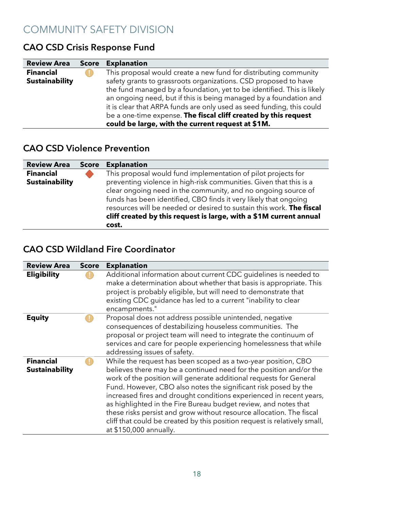# COMMUNITY SAFETY DIVISION

| <b>Review Area</b>                        | <b>Score</b> | <b>Explanation</b>                                                                                                                                                                                                                                                                                                                                                                                                                                                                  |
|-------------------------------------------|--------------|-------------------------------------------------------------------------------------------------------------------------------------------------------------------------------------------------------------------------------------------------------------------------------------------------------------------------------------------------------------------------------------------------------------------------------------------------------------------------------------|
| <b>Financial</b><br><b>Sustainability</b> |              | This proposal would create a new fund for distributing community<br>safety grants to grassroots organizations. CSD proposed to have<br>the fund managed by a foundation, yet to be identified. This is likely<br>an ongoing need, but if this is being managed by a foundation and<br>it is clear that ARPA funds are only used as seed funding, this could<br>be a one-time expense. The fiscal cliff created by this request<br>could be large, with the current request at \$1M. |

### CAO CSD Crisis Response Fund

### CAO CSD Violence Prevention

| <b>Review Area</b>    | Score | <b>Explanation</b>                                                   |
|-----------------------|-------|----------------------------------------------------------------------|
| <b>Financial</b>      |       | This proposal would fund implementation of pilot projects for        |
| <b>Sustainability</b> |       | preventing violence in high-risk communities. Given that this is a   |
|                       |       | clear ongoing need in the community, and no ongoing source of        |
|                       |       | funds has been identified, CBO finds it very likely that ongoing     |
|                       |       | resources will be needed or desired to sustain this work. The fiscal |
|                       |       | cliff created by this request is large, with a \$1M current annual   |
|                       |       | cost.                                                                |

#### CAO CSD Wildland Fire Coordinator

| <b>Review Area</b>                        | <b>Score</b> | <b>Explanation</b>                                                                                                                                                                                                                                                                                                                                                                                                                                                                                                                                                                                    |
|-------------------------------------------|--------------|-------------------------------------------------------------------------------------------------------------------------------------------------------------------------------------------------------------------------------------------------------------------------------------------------------------------------------------------------------------------------------------------------------------------------------------------------------------------------------------------------------------------------------------------------------------------------------------------------------|
| <b>Eligibility</b>                        |              | Additional information about current CDC guidelines is needed to<br>make a determination about whether that basis is appropriate. This<br>project is probably eligible, but will need to demonstrate that<br>existing CDC guidance has led to a current "inability to clear<br>encampments."                                                                                                                                                                                                                                                                                                          |
| <b>Equity</b>                             |              | Proposal does not address possible unintended, negative<br>consequences of destabilizing houseless communities. The<br>proposal or project team will need to integrate the continuum of<br>services and care for people experiencing homelessness that while<br>addressing issues of safety.                                                                                                                                                                                                                                                                                                          |
| <b>Financial</b><br><b>Sustainability</b> |              | While the request has been scoped as a two-year position, CBO<br>believes there may be a continued need for the position and/or the<br>work of the position will generate additional requests for General<br>Fund. However, CBO also notes the significant risk posed by the<br>increased fires and drought conditions experienced in recent years,<br>as highlighted in the Fire Bureau budget review, and notes that<br>these risks persist and grow without resource allocation. The fiscal<br>cliff that could be created by this position request is relatively small,<br>at \$150,000 annually. |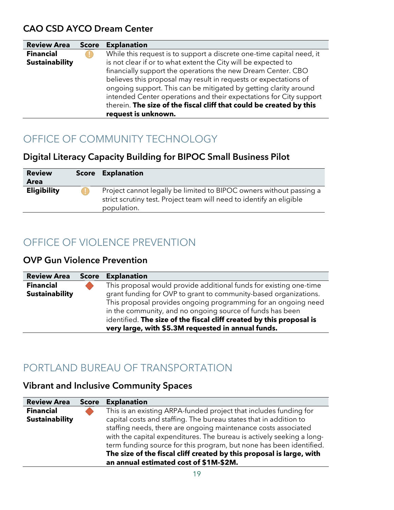#### CAO CSD AYCO Dream Center

| <b>Review Area</b>                        | <b>Score</b> | <b>Explanation</b>                                                                                                                                                                                                                                                                                                                              |
|-------------------------------------------|--------------|-------------------------------------------------------------------------------------------------------------------------------------------------------------------------------------------------------------------------------------------------------------------------------------------------------------------------------------------------|
| <b>Financial</b><br><b>Sustainability</b> |              | While this request is to support a discrete one-time capital need, it<br>is not clear if or to what extent the City will be expected to<br>financially support the operations the new Dream Center. CBO<br>believes this proposal may result in requests or expectations of<br>ongoing support. This can be mitigated by getting clarity around |
|                                           |              | intended Center operations and their expectations for City support<br>therein. The size of the fiscal cliff that could be created by this<br>request is unknown.                                                                                                                                                                                |

# OFFICE OF COMMUNITY TECHNOLOGY

### Digital Literacy Capacity Building for BIPOC Small Business Pilot

| <b>Review</b><br><b>Area</b> | <b>Score Explanation</b>                                                                                                                                   |
|------------------------------|------------------------------------------------------------------------------------------------------------------------------------------------------------|
| <b>Eligibility</b>           | Project cannot legally be limited to BIPOC owners without passing a<br>strict scrutiny test. Project team will need to identify an eligible<br>population. |

# OFFICE OF VIOLENCE PREVENTION

#### OVP Gun Violence Prevention

| <b>Review Area</b>    | <b>Score</b> | <b>Explanation</b>                                                   |
|-----------------------|--------------|----------------------------------------------------------------------|
| <b>Financial</b>      |              | This proposal would provide additional funds for existing one-time   |
| <b>Sustainability</b> |              | grant funding for OVP to grant to community-based organizations.     |
|                       |              | This proposal provides ongoing programming for an ongoing need       |
|                       |              | in the community, and no ongoing source of funds has been            |
|                       |              | identified. The size of the fiscal cliff created by this proposal is |
|                       |              | very large, with \$5.3M requested in annual funds.                   |

# PORTLAND BUREAU OF TRANSPORTATION

### Vibrant and Inclusive Community Spaces

| <b>Review Area</b>    | <b>Score</b> | <b>Explanation</b>                                                    |
|-----------------------|--------------|-----------------------------------------------------------------------|
| <b>Financial</b>      |              | This is an existing ARPA-funded project that includes funding for     |
| <b>Sustainability</b> |              | capital costs and staffing. The bureau states that in addition to     |
|                       |              | staffing needs, there are ongoing maintenance costs associated        |
|                       |              | with the capital expenditures. The bureau is actively seeking a long- |
|                       |              | term funding source for this program, but none has been identified.   |
|                       |              | The size of the fiscal cliff created by this proposal is large, with  |
|                       |              | an annual estimated cost of \$1M-\$2M.                                |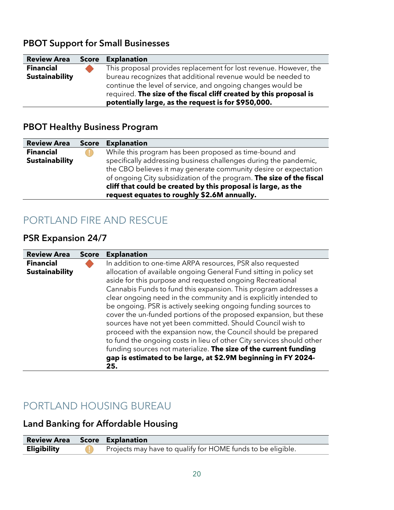### PBOT Support for Small Businesses

| <b>Review Area</b>    | <b>Score</b> | <b>Explanation</b>                                                                                                                                                                                                                                       |
|-----------------------|--------------|----------------------------------------------------------------------------------------------------------------------------------------------------------------------------------------------------------------------------------------------------------|
| <b>Financial</b>      |              | This proposal provides replacement for lost revenue. However, the                                                                                                                                                                                        |
| <b>Sustainability</b> |              | bureau recognizes that additional revenue would be needed to<br>continue the level of service, and ongoing changes would be<br>required. The size of the fiscal cliff created by this proposal is<br>potentially large, as the request is for \$950,000. |

#### PBOT Healthy Business Program

| <b>Review Area</b>    | <b>Score</b> | <b>Explanation</b>                                                   |
|-----------------------|--------------|----------------------------------------------------------------------|
| <b>Financial</b>      |              | While this program has been proposed as time-bound and               |
| <b>Sustainability</b> |              | specifically addressing business challenges during the pandemic,     |
|                       |              | the CBO believes it may generate community desire or expectation     |
|                       |              | of ongoing City subsidization of the program. The size of the fiscal |
|                       |              | cliff that could be created by this proposal is large, as the        |
|                       |              | request equates to roughly \$2.6M annually.                          |

# PORTLAND FIRE AND RESCUE

### PSR Expansion 24/7

| <b>Review Area</b>                        | <b>Score</b> | <b>Explanation</b>                                                                                                                                                                                                                                                                                                                                                                                                                                                                                                                                                                                                                                                                                                                                                                                                                 |
|-------------------------------------------|--------------|------------------------------------------------------------------------------------------------------------------------------------------------------------------------------------------------------------------------------------------------------------------------------------------------------------------------------------------------------------------------------------------------------------------------------------------------------------------------------------------------------------------------------------------------------------------------------------------------------------------------------------------------------------------------------------------------------------------------------------------------------------------------------------------------------------------------------------|
| <b>Financial</b><br><b>Sustainability</b> |              | In addition to one-time ARPA resources, PSR also requested<br>allocation of available ongoing General Fund sitting in policy set<br>aside for this purpose and requested ongoing Recreational<br>Cannabis Funds to fund this expansion. This program addresses a<br>clear ongoing need in the community and is explicitly intended to<br>be ongoing. PSR is actively seeking ongoing funding sources to<br>cover the un-funded portions of the proposed expansion, but these<br>sources have not yet been committed. Should Council wish to<br>proceed with the expansion now, the Council should be prepared<br>to fund the ongoing costs in lieu of other City services should other<br>funding sources not materialize. The size of the current funding<br>gap is estimated to be large, at \$2.9M beginning in FY 2024-<br>25. |

# PORTLAND HOUSING BUREAU

### Land Banking for Affordable Housing

| <b>Review Area Score Explanation</b> |                                                             |
|--------------------------------------|-------------------------------------------------------------|
| <b>Eligibility</b>                   | Projects may have to qualify for HOME funds to be eligible. |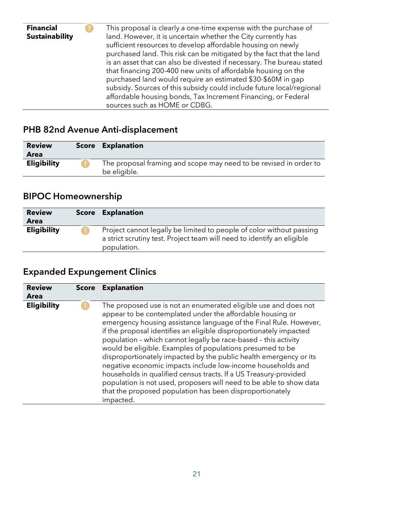| <b>Financial</b><br><b>Sustainability</b> | This proposal is clearly a one-time expense with the purchase of<br>land. However, it is uncertain whether the City currently has<br>sufficient resources to develop affordable housing on newly<br>purchased land. This risk can be mitigated by the fact that the land<br>is an asset that can also be divested if necessary. The bureau stated<br>that financing 200-400 new units of affordable housing on the<br>purchased land would require an estimated \$30-\$60M in gap<br>subsidy. Sources of this subsidy could include future local/regional<br>affordable housing bonds, Tax Increment Financing, or Federal |
|-------------------------------------------|----------------------------------------------------------------------------------------------------------------------------------------------------------------------------------------------------------------------------------------------------------------------------------------------------------------------------------------------------------------------------------------------------------------------------------------------------------------------------------------------------------------------------------------------------------------------------------------------------------------------------|
|                                           | sources such as HOME or CDBG.                                                                                                                                                                                                                                                                                                                                                                                                                                                                                                                                                                                              |
|                                           |                                                                                                                                                                                                                                                                                                                                                                                                                                                                                                                                                                                                                            |

# PHB 82nd Avenue Anti-displacement

| <b>Review</b>      | <b>Score Explanation</b>                                          |
|--------------------|-------------------------------------------------------------------|
| Area               |                                                                   |
| <b>Eligibility</b> | The proposal framing and scope may need to be revised in order to |
|                    | be eligible.                                                      |

# BIPOC Homeownership

| <b>Review</b>      | <b>Score Explanation</b>                                                                                                                                      |
|--------------------|---------------------------------------------------------------------------------------------------------------------------------------------------------------|
| <b>Area</b>        |                                                                                                                                                               |
| <b>Eligibility</b> | Project cannot legally be limited to people of color without passing<br>a strict scrutiny test. Project team will need to identify an eligible<br>population. |

# Expanded Expungement Clinics

| <b>Review</b><br>Area | <b>Score</b> | <b>Explanation</b>                                                                                                                                                                                                                                                                                                                                                                                                                                                                                                                                                                                                                                                                                                                                              |
|-----------------------|--------------|-----------------------------------------------------------------------------------------------------------------------------------------------------------------------------------------------------------------------------------------------------------------------------------------------------------------------------------------------------------------------------------------------------------------------------------------------------------------------------------------------------------------------------------------------------------------------------------------------------------------------------------------------------------------------------------------------------------------------------------------------------------------|
| <b>Eligibility</b>    |              | The proposed use is not an enumerated eligible use and does not<br>appear to be contemplated under the affordable housing or<br>emergency housing assistance language of the Final Rule. However,<br>if the proposal identifies an eligible disproportionately impacted<br>population - which cannot legally be race-based - this activity<br>would be eligible. Examples of populations presumed to be<br>disproportionately impacted by the public health emergency or its<br>negative economic impacts include low-income households and<br>households in qualified census tracts. If a US Treasury-provided<br>population is not used, proposers will need to be able to show data<br>that the proposed population has been disproportionately<br>impacted. |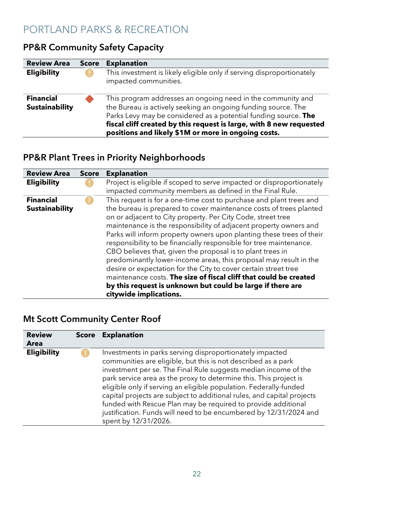# PORTLAND PARKS & RECREATION

| <b>Review Area</b>                        | <b>Score</b> | <b>Explanation</b>                                                                                                                                                                                                                                                                                                            |
|-------------------------------------------|--------------|-------------------------------------------------------------------------------------------------------------------------------------------------------------------------------------------------------------------------------------------------------------------------------------------------------------------------------|
| <b>Eligibility</b>                        |              | This investment is likely eligible only if serving disproportionately<br>impacted communities.                                                                                                                                                                                                                                |
| <b>Financial</b><br><b>Sustainability</b> |              | This program addresses an ongoing need in the community and<br>the Bureau is actively seeking an ongoing funding source. The<br>Parks Levy may be considered as a potential funding source. The<br>fiscal cliff created by this request is large, with 8 new requested<br>positions and likely \$1M or more in ongoing costs. |

### PP&R Community Safety Capacity

# PP&R Plant Trees in Priority Neighborhoods

| <b>Review Area</b>                        | <b>Score</b> | <b>Explanation</b>                                                                                                                                                                                                                                                                                                                                                                                                                                                                                                                                                                                                                                                                                                                                                   |
|-------------------------------------------|--------------|----------------------------------------------------------------------------------------------------------------------------------------------------------------------------------------------------------------------------------------------------------------------------------------------------------------------------------------------------------------------------------------------------------------------------------------------------------------------------------------------------------------------------------------------------------------------------------------------------------------------------------------------------------------------------------------------------------------------------------------------------------------------|
| <b>Eligibility</b>                        |              | Project is eligible if scoped to serve impacted or disproportionately<br>impacted community members as defined in the Final Rule.                                                                                                                                                                                                                                                                                                                                                                                                                                                                                                                                                                                                                                    |
| <b>Financial</b><br><b>Sustainability</b> |              | This request is for a one-time cost to purchase and plant trees and<br>the bureau is prepared to cover maintenance costs of trees planted<br>on or adjacent to City property. Per City Code, street tree<br>maintenance is the responsibility of adjacent property owners and<br>Parks will inform property owners upon planting these trees of their<br>responsibility to be financially responsible for tree maintenance.<br>CBO believes that, given the proposal is to plant trees in<br>predominantly lower-income areas, this proposal may result in the<br>desire or expectation for the City to cover certain street tree<br>maintenance costs. The size of fiscal cliff that could be created<br>by this request is unknown but could be large if there are |
|                                           |              | citywide implications.                                                                                                                                                                                                                                                                                                                                                                                                                                                                                                                                                                                                                                                                                                                                               |

### Mt Scott Community Center Roof

| <b>Review</b><br><b>Area</b> | <b>Score</b> | <b>Explanation</b>                                                                                                                                                                                                                                                                                                                                                                                                                                                                                                                                                             |
|------------------------------|--------------|--------------------------------------------------------------------------------------------------------------------------------------------------------------------------------------------------------------------------------------------------------------------------------------------------------------------------------------------------------------------------------------------------------------------------------------------------------------------------------------------------------------------------------------------------------------------------------|
| <b>Eligibility</b>           |              | Investments in parks serving disproportionately impacted<br>communities are eligible, but this is not described as a park<br>investment per se. The Final Rule suggests median income of the<br>park service area as the proxy to determine this. This project is<br>eligible only if serving an eligible population. Federally-funded<br>capital projects are subject to additional rules, and capital projects<br>funded with Rescue Plan may be required to provide additional<br>justification. Funds will need to be encumbered by 12/31/2024 and<br>spent by 12/31/2026. |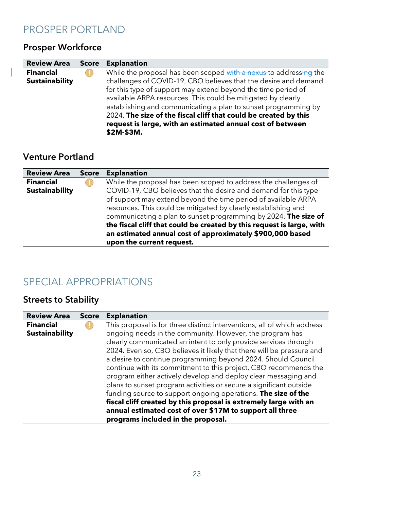### PROSPER PORTLAND

# Prosper Workforce

 $\Big|$ 

| <b>Review Area</b>                        | <b>Score</b> | <b>Explanation</b>                                                                                                                                                                                                                                                                                                                                                                                                                                                                      |
|-------------------------------------------|--------------|-----------------------------------------------------------------------------------------------------------------------------------------------------------------------------------------------------------------------------------------------------------------------------------------------------------------------------------------------------------------------------------------------------------------------------------------------------------------------------------------|
| <b>Financial</b><br><b>Sustainability</b> |              | While the proposal has been scoped with a nexus to addressing the<br>challenges of COVID-19, CBO believes that the desire and demand<br>for this type of support may extend beyond the time period of<br>available ARPA resources. This could be mitigated by clearly<br>establishing and communicating a plan to sunset programming by<br>2024. The size of the fiscal cliff that could be created by this<br>request is large, with an estimated annual cost of between<br>\$2M-\$3M. |

#### Venture Portland

| <b>Review Area</b>    | <b>Score</b> | <b>Explanation</b>                                                                                                                                              |
|-----------------------|--------------|-----------------------------------------------------------------------------------------------------------------------------------------------------------------|
| <b>Financial</b>      |              | While the proposal has been scoped to address the challenges of                                                                                                 |
| <b>Sustainability</b> |              | COVID-19, CBO believes that the desire and demand for this type                                                                                                 |
|                       |              | of support may extend beyond the time period of available ARPA                                                                                                  |
|                       |              | resources. This could be mitigated by clearly establishing and                                                                                                  |
|                       |              | communicating a plan to sunset programming by 2024. The size of                                                                                                 |
|                       |              | the fiscal cliff that could be created by this request is large, with<br>an estimated annual cost of approximately \$900,000 based<br>upon the current request. |

# SPECIAL APPROPRIATIONS

# Streets to Stability

| <b>Review Area</b>    | <b>Score</b> | <b>Explanation</b>                                                                                                                                                                                                                                                                                                                                                                                                                                                                                                                                                                       |
|-----------------------|--------------|------------------------------------------------------------------------------------------------------------------------------------------------------------------------------------------------------------------------------------------------------------------------------------------------------------------------------------------------------------------------------------------------------------------------------------------------------------------------------------------------------------------------------------------------------------------------------------------|
| <b>Financial</b>      |              | This proposal is for three distinct interventions, all of which address                                                                                                                                                                                                                                                                                                                                                                                                                                                                                                                  |
| <b>Sustainability</b> |              | ongoing needs in the community. However, the program has                                                                                                                                                                                                                                                                                                                                                                                                                                                                                                                                 |
|                       |              | clearly communicated an intent to only provide services through                                                                                                                                                                                                                                                                                                                                                                                                                                                                                                                          |
|                       |              | 2024. Even so, CBO believes it likely that there will be pressure and<br>a desire to continue programming beyond 2024. Should Council<br>continue with its commitment to this project, CBO recommends the<br>program either actively develop and deploy clear messaging and<br>plans to sunset program activities or secure a significant outside<br>funding source to support ongoing operations. The size of the<br>fiscal cliff created by this proposal is extremely large with an<br>annual estimated cost of over \$17M to support all three<br>programs included in the proposal. |